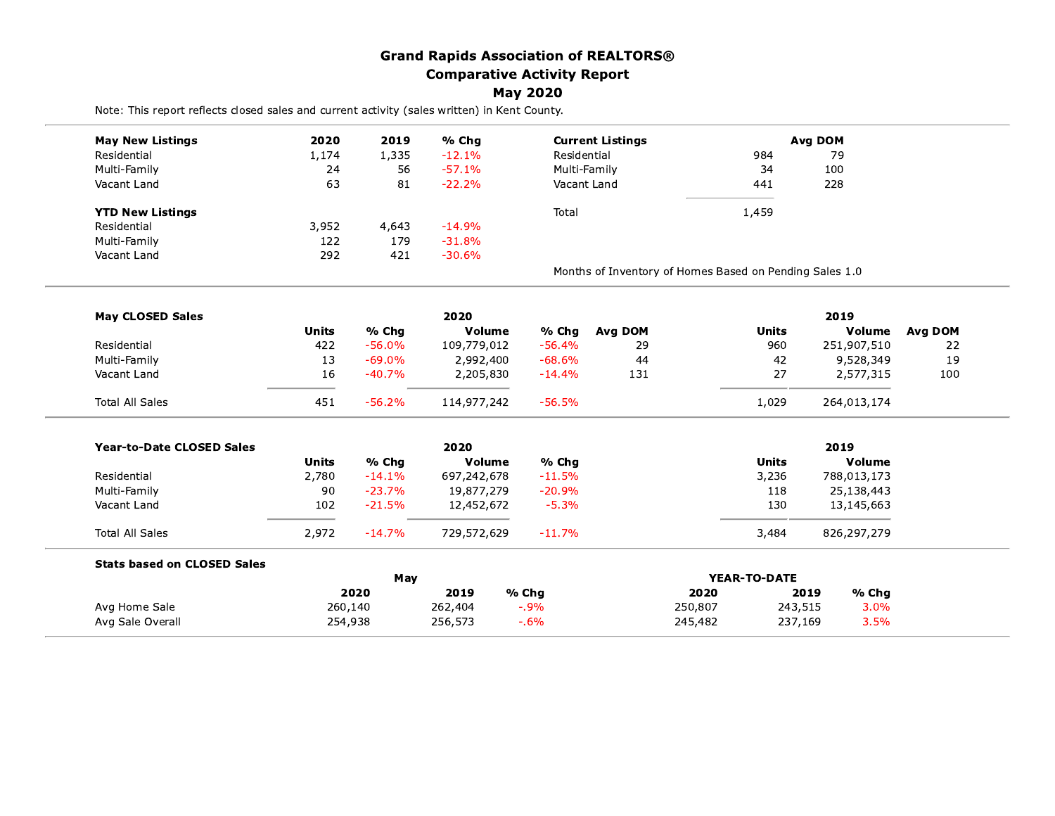## **Grand Rapids Association of REALTORS® Comparative Activity Report May 2020**

Note: This report reflects closed sales and current activity (sales written) in Kent County.

| <b>May New Listings</b>            | 2020         | 2019     | % Cha       |              | <b>Current Listings</b>                                 | Avg DOM      |               |         |  |
|------------------------------------|--------------|----------|-------------|--------------|---------------------------------------------------------|--------------|---------------|---------|--|
| Residential                        | 1,174        | 1,335    | $-12.1%$    | Residential  |                                                         | 984          | 79            |         |  |
| Multi-Family                       | 24           | 56       | $-57.1%$    | Multi-Family |                                                         | 34           | 100           |         |  |
| Vacant Land                        | 63           | 81       | $-22.2%$    | Vacant Land  |                                                         | 441          | 228           |         |  |
| <b>YTD New Listings</b>            |              |          |             | Total        |                                                         | 1,459        |               |         |  |
| Residential                        | 3,952        | 4,643    | $-14.9%$    |              |                                                         |              |               |         |  |
| Multi-Family                       | 122          | 179      | $-31.8%$    |              |                                                         |              |               |         |  |
| Vacant Land                        | 292          | 421      | $-30.6%$    |              |                                                         |              |               |         |  |
|                                    |              |          |             |              | Months of Inventory of Homes Based on Pending Sales 1.0 |              |               |         |  |
| <b>May CLOSED Sales</b>            |              |          | 2020        |              |                                                         |              | 2019          |         |  |
|                                    | <b>Units</b> | % Chg    | Volume      | % Chg        | Avg DOM                                                 | <b>Units</b> | <b>Volume</b> | Avg DOM |  |
| Residential                        | 422          | $-56.0%$ | 109,779,012 | $-56.4%$     | 29                                                      | 960          | 251,907,510   | 22      |  |
| Multi-Family                       | 13           | $-69.0%$ | 2,992,400   | $-68.6%$     | 44                                                      | 42           | 9,528,349     | 19      |  |
| Vacant Land                        | 16           | $-40.7%$ | 2,205,830   | $-14.4%$     | 131                                                     | 27           | 2,577,315     | 100     |  |
| <b>Total All Sales</b>             | 451          | $-56.2%$ | 114,977,242 | $-56.5%$     |                                                         | 1,029        | 264,013,174   |         |  |
| <b>Year-to-Date CLOSED Sales</b>   |              |          | 2020        |              |                                                         |              | 2019          |         |  |
|                                    | <b>Units</b> | % Chg    | Volume      | % Chg        |                                                         | <b>Units</b> | Volume        |         |  |
| Residential                        | 2,780        | $-14.1%$ | 697,242,678 | $-11.5%$     |                                                         | 3,236        | 788,013,173   |         |  |
| Multi-Family                       | 90           | $-23.7%$ | 19,877,279  | $-20.9%$     |                                                         | 118          | 25,138,443    |         |  |
| Vacant Land                        | 102          | $-21.5%$ | 12,452,672  | $-5.3%$      |                                                         | 130          | 13,145,663    |         |  |
| <b>Total All Sales</b>             | 2,972        | $-14.7%$ | 729,572,629 | $-11.7%$     |                                                         | 3,484        | 826,297,279   |         |  |
| <b>Stats based on CLOSED Sales</b> |              |          |             |              |                                                         |              |               |         |  |
|                                    |              | May      |             |              | <b>YEAR-TO-DATE</b>                                     |              |               |         |  |
|                                    |              | 2020     | 2019        | % Chg        | 2020                                                    |              | % Chg<br>2019 |         |  |
| Avg Home Sale                      | 260,140      |          | 262,404     | $-0.9%$      | 250,807                                                 | 243,515      | 3.0%          |         |  |
| Avg Sale Overall                   | 254,938      |          | 256,573     | $-0.6\%$     | 245,482                                                 | 237,169      | 3.5%          |         |  |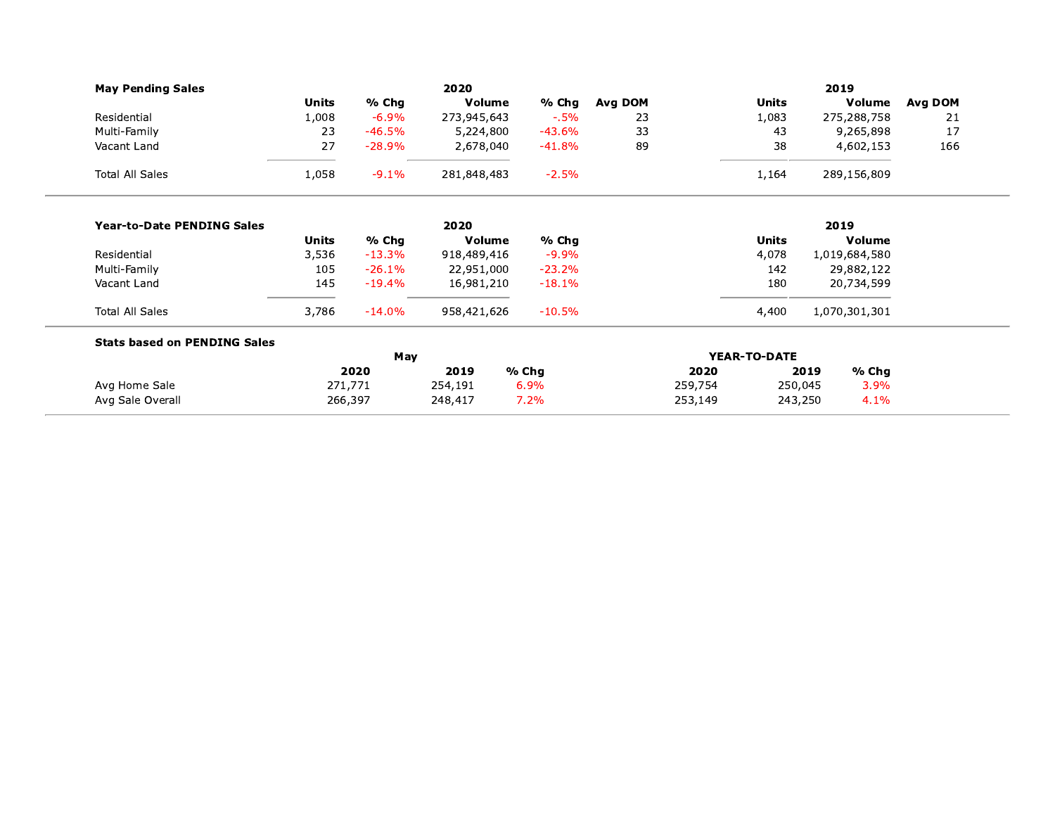|                                     |          | 2020                       |                        |                                                                                                                                                     |         |                 | 2019            |                                                                                                                                                                            |
|-------------------------------------|----------|----------------------------|------------------------|-----------------------------------------------------------------------------------------------------------------------------------------------------|---------|-----------------|-----------------|----------------------------------------------------------------------------------------------------------------------------------------------------------------------------|
| <b>Units</b>                        | % Chg    |                            | % Chg                  | Avg DOM                                                                                                                                             |         | <b>Units</b>    |                 | Avg DOM                                                                                                                                                                    |
| 1,008                               | $-6.9%$  |                            | $-0.5\%$               | 23                                                                                                                                                  |         | 1,083           |                 | 21                                                                                                                                                                         |
| 23                                  | $-46.5%$ |                            | $-43.6%$               | 33                                                                                                                                                  |         | 43              |                 | 17                                                                                                                                                                         |
| 27                                  | $-28.9%$ |                            | $-41.8%$               | 89                                                                                                                                                  |         | 38              |                 | 166                                                                                                                                                                        |
| 1,058                               | $-9.1%$  |                            | $-2.5%$                |                                                                                                                                                     |         | 1,164           |                 |                                                                                                                                                                            |
|                                     |          | 2020                       |                        |                                                                                                                                                     |         |                 | 2019            |                                                                                                                                                                            |
| <b>Units</b>                        | % Chg    |                            | % Chg                  |                                                                                                                                                     |         | Units           |                 |                                                                                                                                                                            |
| 3,536                               | $-13.3%$ |                            | $-9.9%$                |                                                                                                                                                     |         | 4,078           |                 |                                                                                                                                                                            |
| 105                                 | $-26.1%$ |                            | $-23.2%$               |                                                                                                                                                     |         | 142             |                 |                                                                                                                                                                            |
| 145                                 | $-19.4%$ |                            | $-18.1%$               |                                                                                                                                                     |         | 180             |                 |                                                                                                                                                                            |
| 3,786                               | $-14.0%$ |                            | $-10.5%$               |                                                                                                                                                     |         | 4,400           |                 |                                                                                                                                                                            |
| <b>Stats based on PENDING Sales</b> |          |                            |                        |                                                                                                                                                     |         |                 |                 |                                                                                                                                                                            |
|                                     |          |                            |                        |                                                                                                                                                     |         |                 |                 |                                                                                                                                                                            |
|                                     |          |                            |                        |                                                                                                                                                     |         |                 |                 |                                                                                                                                                                            |
|                                     |          | 248,417                    | 7.2%                   |                                                                                                                                                     | 253,149 |                 | 4.1%<br>243,250 |                                                                                                                                                                            |
|                                     |          | 2020<br>271,771<br>266,397 | May<br>2019<br>254,191 | Volume<br>273,945,643<br>5,224,800<br>2,678,040<br>281,848,483<br>Volume<br>918,489,416<br>22,951,000<br>16,981,210<br>958,421,626<br>% Chg<br>6.9% |         | 2020<br>259,754 | YEAR-TO-DATE    | Volume<br>275,288,758<br>9,265,898<br>4,602,153<br>289,156,809<br>Volume<br>1,019,684,580<br>29,882,122<br>20,734,599<br>1,070,301,301<br>% Chg<br>2019<br>250,045<br>3.9% |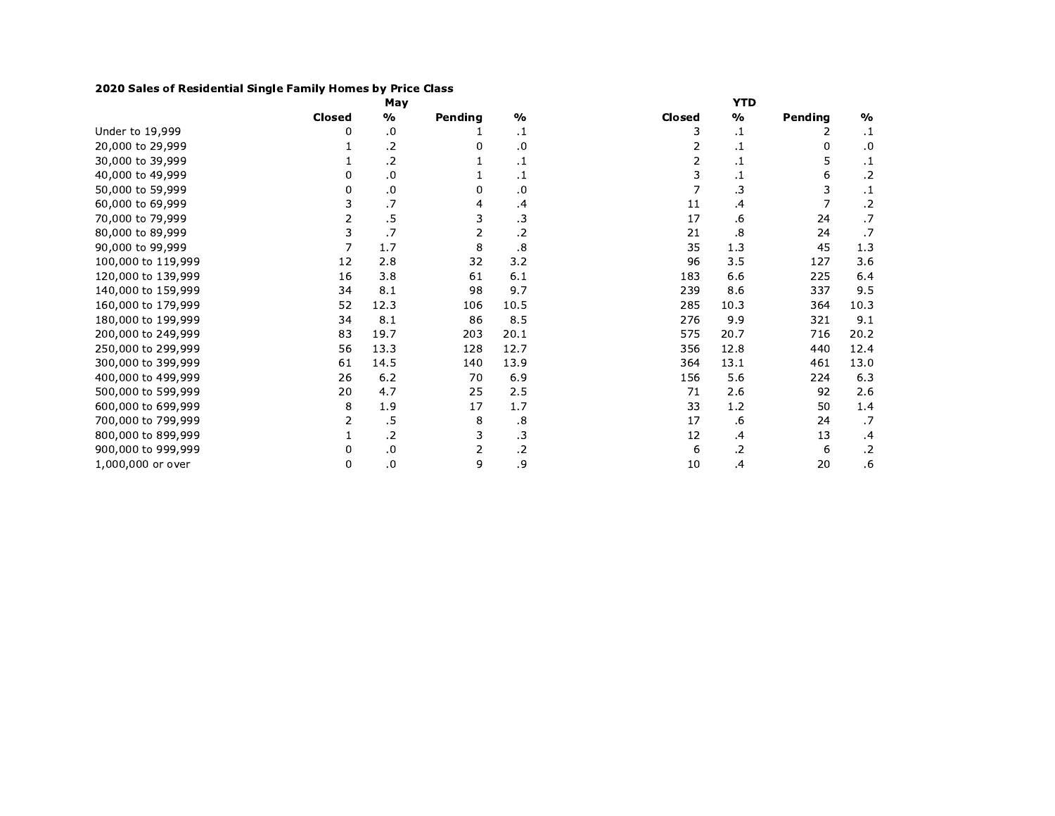## 2020 Sales of Residential Single Family Homes by Price Class

|                    |               | May              |         |                      |               | YTD     |         |               |
|--------------------|---------------|------------------|---------|----------------------|---------------|---------|---------|---------------|
|                    | <b>Closed</b> | %                | Pending | $\frac{0}{0}$        | <b>Closed</b> | %       | Pending | $\frac{0}{0}$ |
| Under to 19,999    | 0             | .0               |         | $\cdot$ 1            | 3             | $\cdot$ | 2       | $\cdot$ 1     |
| 20,000 to 29,999   |               | .2               |         | .0                   |               | .1      | 0       | .0            |
| 30,000 to 39,999   |               | .2               |         | $\cdot$ 1            |               | .1      | 5       | $\cdot$ 1     |
| 40,000 to 49,999   | 0             | $\boldsymbol{0}$ |         | $\cdot$ 1            | 3             | .1      | 6       | $\cdot$       |
| 50,000 to 59,999   | 0             | 0.               | 0       | .0                   |               | .3      | 3       | $\cdot$       |
| 60,000 to 69,999   | 3             | .7               | 4       | .4                   | 11            | .4      | 7       | $\cdot$       |
| 70,000 to 79,999   | 2             | .5               | 3       | $\cdot$ 3            | 17            | .6      | 24      | .7            |
| 80,000 to 89,999   | 3             | .7               | 2       | $\cdot$ .2           | 21            | .8      | 24      | .7            |
| 90,000 to 99,999   | 7             | 1.7              | 8       | $\boldsymbol{\cdot}$ | 35            | 1.3     | 45      | 1.3           |
| 100,000 to 119,999 | 12            | 2.8              | 32      | 3.2                  | 96            | 3.5     | 127     | 3.6           |
| 120,000 to 139,999 | 16            | 3.8              | 61      | 6.1                  | 183           | 6.6     | 225     | 6.4           |
| 140,000 to 159,999 | 34            | 8.1              | 98      | 9.7                  | 239           | 8.6     | 337     | 9.5           |
| 160,000 to 179,999 | 52            | 12.3             | 106     | 10.5                 | 285           | 10.3    | 364     | 10.3          |
| 180,000 to 199,999 | 34            | 8.1              | 86      | 8.5                  | 276           | 9.9     | 321     | 9.1           |
| 200,000 to 249,999 | 83            | 19.7             | 203     | 20.1                 | 575           | 20.7    | 716     | 20.2          |
| 250,000 to 299,999 | 56            | 13.3             | 128     | 12.7                 | 356           | 12.8    | 440     | 12.4          |
| 300,000 to 399,999 | 61            | 14.5             | 140     | 13.9                 | 364           | 13.1    | 461     | 13.0          |
| 400,000 to 499,999 | 26            | 6.2              | 70      | 6.9                  | 156           | 5.6     | 224     | 6.3           |
| 500,000 to 599,999 | 20            | 4.7              | 25      | 2.5                  | 71            | 2.6     | 92      | 2.6           |
| 600,000 to 699,999 | 8             | 1.9              | 17      | 1.7                  | 33            | 1.2     | 50      | 1.4           |
| 700,000 to 799,999 | 2             | .5               | 8       | .8                   | 17            | .6      | 24      | .7            |
| 800,000 to 899,999 |               | .2               | 3       | $\cdot$ 3            | 12            | .4      | 13      | .4            |
| 900,000 to 999,999 | 0             | 0.               | 2       | $\cdot$ .2           | 6             | .2      | 6       | $\cdot$       |
| 1,000,000 or over  | 0             | .0               | 9       | .9                   | 10            | .4      | 20      | .6            |